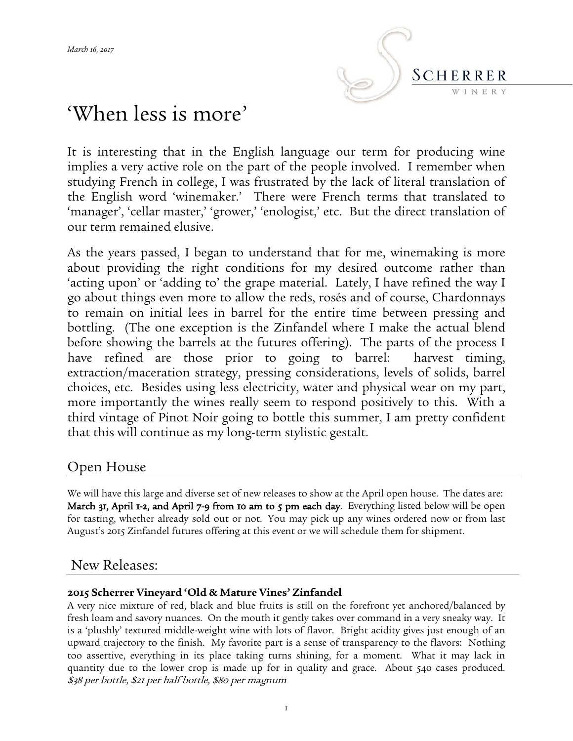

# 'When less is more'

It is interesting that in the English language our term for producing wine implies a very active role on the part of the people involved. I remember when studying French in college, I was frustrated by the lack of literal translation of the English word 'winemaker.' There were French terms that translated to 'manager', 'cellar master,' 'grower,' 'enologist,' etc. But the direct translation of our term remained elusive.

As the years passed, I began to understand that for me, winemaking is more about providing the right conditions for my desired outcome rather than 'acting upon' or 'adding to' the grape material. Lately, I have refined the way I go about things even more to allow the reds, rosés and of course, Chardonnays to remain on initial lees in barrel for the entire time between pressing and bottling. (The one exception is the Zinfandel where I make the actual blend before showing the barrels at the futures offering). The parts of the process I have refined are those prior to going to barrel: harvest timing, extraction/maceration strategy, pressing considerations, levels of solids, barrel choices, etc. Besides using less electricity, water and physical wear on my part, more importantly the wines really seem to respond positively to this. With a third vintage of Pinot Noir going to bottle this summer, I am pretty confident that this will continue as my long-term stylistic gestalt.

# Open House

We will have this large and diverse set of new releases to show at the April open house. The dates are: March 31, April 1-2, and April 7-9 from 10 am to 5 pm each day. Everything listed below will be open for tasting, whether already sold out or not. You may pick up any wines ordered now or from last August's 2015 Zinfandel futures offering at this event or we will schedule them for shipment.

# New Releases:

### **2015 Scherrer Vineyard 'Old & Mature Vines' Zinfandel**

A very nice mixture of red, black and blue fruits is still on the forefront yet anchored/balanced by fresh loam and savory nuances. On the mouth it gently takes over command in a very sneaky way. It is a 'plushly' textured middle-weight wine with lots of flavor. Bright acidity gives just enough of an upward trajectory to the finish. My favorite part is a sense of transparency to the flavors: Nothing too assertive, everything in its place taking turns shining, for a moment. What it may lack in quantity due to the lower crop is made up for in quality and grace. About 540 cases produced. \$38 per bottle, \$21 per half bottle, \$80 per magnum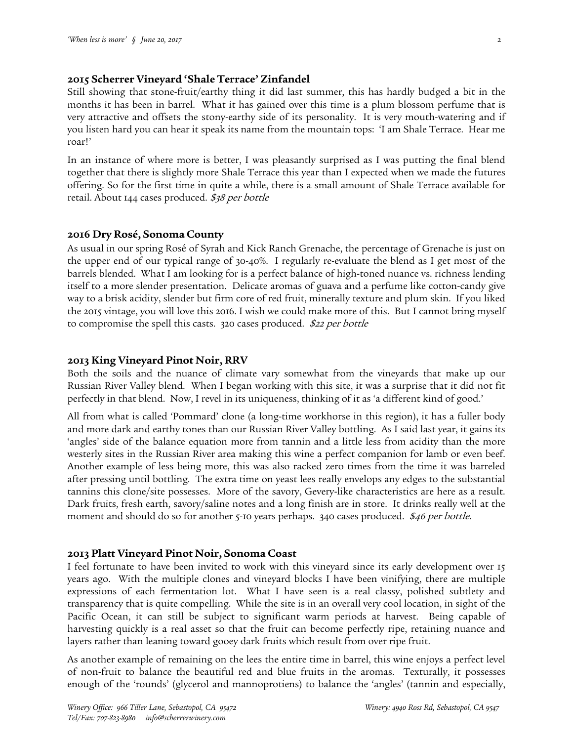#### **2015 Scherrer Vineyard 'Shale Terrace' Zinfandel**

Still showing that stone-fruit/earthy thing it did last summer, this has hardly budged a bit in the months it has been in barrel. What it has gained over this time is a plum blossom perfume that is very attractive and offsets the stony-earthy side of its personality. It is very mouth-watering and if you listen hard you can hear it speak its name from the mountain tops: 'I am Shale Terrace. Hear me roar!'

In an instance of where more is better, I was pleasantly surprised as I was putting the final blend together that there is slightly more Shale Terrace this year than I expected when we made the futures offering. So for the first time in quite a while, there is a small amount of Shale Terrace available for retail. About 144 cases produced. \$38 per bottle

#### **2016 Dry Rosé, Sonoma County**

As usual in our spring Rosé of Syrah and Kick Ranch Grenache, the percentage of Grenache is just on the upper end of our typical range of 30-40%. I regularly re-evaluate the blend as I get most of the barrels blended. What I am looking for is a perfect balance of high-toned nuance vs. richness lending itself to a more slender presentation. Delicate aromas of guava and a perfume like cotton-candy give way to a brisk acidity, slender but firm core of red fruit, minerally texture and plum skin. If you liked the 2015 vintage, you will love this 2016. I wish we could make more of this. But I cannot bring myself to compromise the spell this casts. 320 cases produced. \$22 per bottle

#### **2013 King Vineyard Pinot Noir, RRV**

Both the soils and the nuance of climate vary somewhat from the vineyards that make up our Russian River Valley blend. When I began working with this site, it was a surprise that it did not fit perfectly in that blend. Now, I revel in its uniqueness, thinking of it as 'a different kind of good.'

All from what is called 'Pommard' clone (a long-time workhorse in this region), it has a fuller body and more dark and earthy tones than our Russian River Valley bottling. As I said last year, it gains its 'angles' side of the balance equation more from tannin and a little less from acidity than the more westerly sites in the Russian River area making this wine a perfect companion for lamb or even beef. Another example of less being more, this was also racked zero times from the time it was barreled after pressing until bottling. The extra time on yeast lees really envelops any edges to the substantial tannins this clone/site possesses. More of the savory, Gevery-like characteristics are here as a result. Dark fruits, fresh earth, savory/saline notes and a long finish are in store. It drinks really well at the moment and should do so for another 5-10 years perhaps. 340 cases produced. \$46 per bottle.

#### **2013 Platt Vineyard Pinot Noir, Sonoma Coast**

I feel fortunate to have been invited to work with this vineyard since its early development over 15 years ago. With the multiple clones and vineyard blocks I have been vinifying, there are multiple expressions of each fermentation lot. What I have seen is a real classy, polished subtlety and transparency that is quite compelling. While the site is in an overall very cool location, in sight of the Pacific Ocean, it can still be subject to significant warm periods at harvest. Being capable of harvesting quickly is a real asset so that the fruit can become perfectly ripe, retaining nuance and layers rather than leaning toward gooey dark fruits which result from over ripe fruit.

As another example of remaining on the lees the entire time in barrel, this wine enjoys a perfect level of non-fruit to balance the beautiful red and blue fruits in the aromas. Texturally, it possesses enough of the 'rounds' (glycerol and mannoprotiens) to balance the 'angles' (tannin and especially,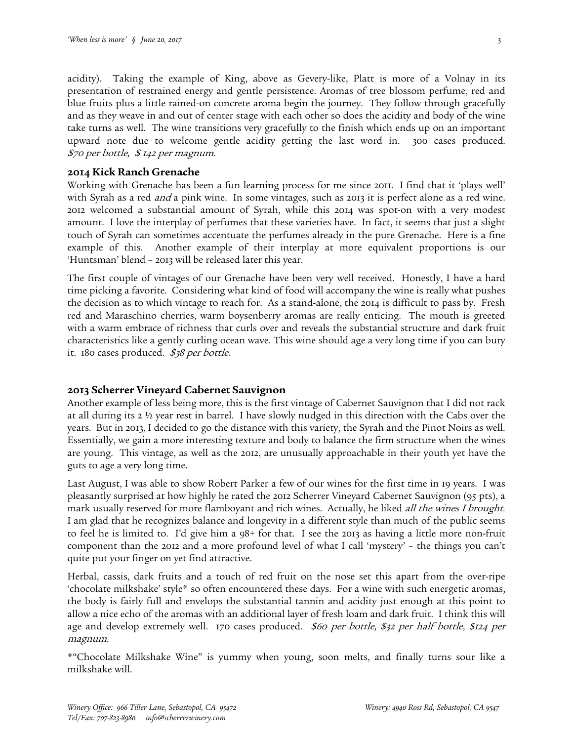acidity). Taking the example of King, above as Gevery-like, Platt is more of a Volnay in its presentation of restrained energy and gentle persistence. Aromas of tree blossom perfume, red and blue fruits plus a little rained-on concrete aroma begin the journey. They follow through gracefully and as they weave in and out of center stage with each other so does the acidity and body of the wine take turns as well. The wine transitions very gracefully to the finish which ends up on an important upward note due to welcome gentle acidity getting the last word in. 300 cases produced. \$70 per bottle, \$ 142 per magnum.

#### **2014 Kick Ranch Grenache**

Working with Grenache has been a fun learning process for me since 2011. I find that it 'plays well' with Syrah as a red *and* a pink wine. In some vintages, such as 2013 it is perfect alone as a red wine. 2012 welcomed a substantial amount of Syrah, while this 2014 was spot-on with a very modest amount. I love the interplay of perfumes that these varieties have. In fact, it seems that just a slight touch of Syrah can sometimes accentuate the perfumes already in the pure Grenache. Here is a fine example of this. Another example of their interplay at more equivalent proportions is our 'Huntsman' blend – 2013 will be released later this year.

The first couple of vintages of our Grenache have been very well received. Honestly, I have a hard time picking a favorite. Considering what kind of food will accompany the wine is really what pushes the decision as to which vintage to reach for. As a stand-alone, the 2014 is difficult to pass by. Fresh red and Maraschino cherries, warm boysenberry aromas are really enticing. The mouth is greeted with a warm embrace of richness that curls over and reveals the substantial structure and dark fruit characteristics like a gently curling ocean wave. This wine should age a very long time if you can bury it. 180 cases produced. \$38 per bottle.

#### **2013 Scherrer Vineyard Cabernet Sauvignon**

Another example of less being more, this is the first vintage of Cabernet Sauvignon that I did not rack at all during its 2 ½ year rest in barrel. I have slowly nudged in this direction with the Cabs over the years. But in 2013, I decided to go the distance with this variety, the Syrah and the Pinot Noirs as well. Essentially, we gain a more interesting texture and body to balance the firm structure when the wines are young. This vintage, as well as the 2012, are unusually approachable in their youth yet have the guts to age a very long time.

Last August, I was able to show Robert Parker a few of our wines for the first time in 19 years. I was pleasantly surprised at how highly he rated the 2012 Scherrer Vineyard Cabernet Sauvignon (95 pts), a mark usually reserved for more flamboyant and rich wines. Actually, he liked *[all the wines I brought](http://www.scherrerwinery.com/mag/db/pics/1489693332_21763.f_mag_pdf.pdf?26029)*. I am glad that he recognizes balance and longevity in a different style than much of the public seems to feel he is limited to. I'd give him a 98+ for that. I see the 2013 as having a little more non-fruit component than the 2012 and a more profound level of what I call 'mystery' – the things you can't quite put your finger on yet find attractive.

Herbal, cassis, dark fruits and a touch of red fruit on the nose set this apart from the over-ripe 'chocolate milkshake' style\* so often encountered these days. For a wine with such energetic aromas, the body is fairly full and envelops the substantial tannin and acidity just enough at this point to allow a nice echo of the aromas with an additional layer of fresh loam and dark fruit. I think this will age and develop extremely well. 170 cases produced. \$60 per bottle, \$32 per half bottle, \$124 per magnum.

\*"Chocolate Milkshake Wine" is yummy when young, soon melts, and finally turns sour like a milkshake will.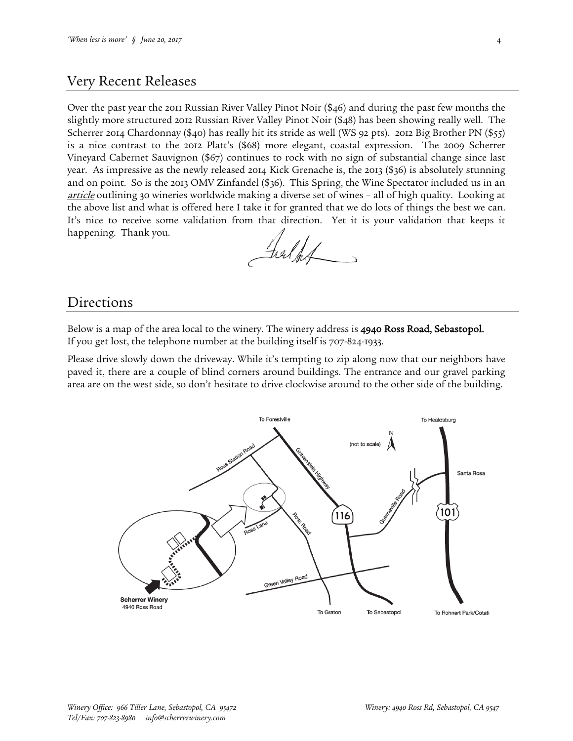## Very Recent Releases

Over the past year the 2011 Russian River Valley Pinot Noir (\$46) and during the past few months the slightly more structured 2012 Russian River Valley Pinot Noir (\$48) has been showing really well. The Scherrer 2014 Chardonnay (\$40) has really hit its stride as well (WS 92 pts). 2012 Big Brother PN (\$55) is a nice contrast to the 2012 Platt's (\$68) more elegant, coastal expression. The 2009 Scherrer Vineyard Cabernet Sauvignon (\$67) continues to rock with no sign of substantial change since last year. As impressive as the newly released 2014 Kick Grenache is, the 2013 (\$36) is absolutely stunning and on point. So is the 2013 OMV Zinfandel (\$36). This Spring, the Wine Spectator included us in an [article](http://www.scherrerwinery.com/mag/db/pics/1477503738_25525.f_mag_pdf.pdf?26029) outlining 30 wineries worldwide making a diverse set of wines - all of high quality. Looking at the above list and what is offered here I take it for granted that we do lots of things the best we can. It's nice to receive some validation from that direction. Yet it is your validation that keeps it happening. Thank you.

Fielks

### Directions

Below is a map of the area local to the winery. The winery address is 4940 Ross Road, Sebastopol. If you get lost, the telephone number at the building itself is 707-824-1933.

Please drive slowly down the driveway. While it's tempting to zip along now that our neighbors have paved it, there are a couple of blind corners around buildings. The entrance and our gravel parking area are on the west side, so don't hesitate to drive clockwise around to the other side of the building.